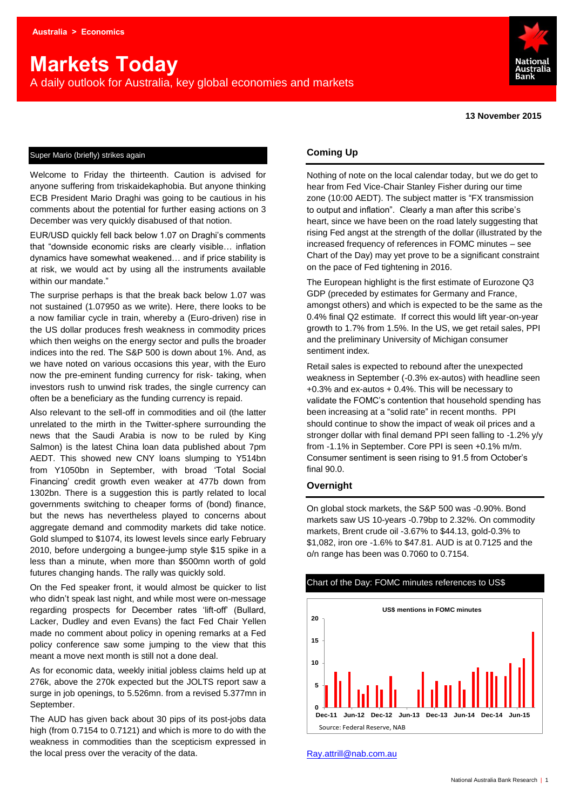# **Markets Today**

A daily outlook for Australia, key global economies and markets



**13 November 2015**

#### Super Mario (briefly) strikes again

Welcome to Friday the thirteenth. Caution is advised for anyone suffering from triskaidekaphobia. But anyone thinking ECB President Mario Draghi was going to be cautious in his comments about the potential for further easing actions on 3 December was very quickly disabused of that notion.

EUR/USD quickly fell back below 1.07 on Draghi's comments that "downside economic risks are clearly visible… inflation dynamics have somewhat weakened… and if price stability is at risk, we would act by using all the instruments available within our mandate."

The surprise perhaps is that the break back below 1.07 was not sustained (1.07950 as we write). Here, there looks to be a now familiar cycle in train, whereby a (Euro-driven) rise in the US dollar produces fresh weakness in commodity prices which then weighs on the energy sector and pulls the broader indices into the red. The S&P 500 is down about 1%. And, as we have noted on various occasions this year, with the Euro now the pre-eminent funding currency for risk- taking, when investors rush to unwind risk trades, the single currency can often be a beneficiary as the funding currency is repaid.

Also relevant to the sell-off in commodities and oil (the latter unrelated to the mirth in the Twitter-sphere surrounding the news that the Saudi Arabia is now to be ruled by King Salmon) is the latest China loan data published about 7pm AEDT. This showed new CNY loans slumping to Y514bn from Y1050bn in September, with broad 'Total Social Financing' credit growth even weaker at 477b down from 1302bn. There is a suggestion this is partly related to local governments switching to cheaper forms of (bond) finance, but the news has nevertheless played to concerns about aggregate demand and commodity markets did take notice. Gold slumped to \$1074, its lowest levels since early February 2010, before undergoing a bungee-jump style \$15 spike in a less than a minute, when more than \$500mn worth of gold futures changing hands. The rally was quickly sold.

On the Fed speaker front, it would almost be quicker to list who didn't speak last night, and while most were on-message regarding prospects for December rates 'lift-off' (Bullard, Lacker, Dudley and even Evans) the fact Fed Chair Yellen made no comment about policy in opening remarks at a Fed policy conference saw some jumping to the view that this meant a move next month is still not a done deal.

As for economic data, weekly initial jobless claims held up at 276k, above the 270k expected but the JOLTS report saw a surge in job openings, to 5.526mn. from a revised 5.377mn in September.

The AUD has given back about 30 pips of its post-jobs data high (from 0.7154 to 0.7121) and which is more to do with the weakness in commodities than the scepticism expressed in the local press over the veracity of the data.

#### **Coming Up**

Nothing of note on the local calendar today, but we do get to hear from Fed Vice-Chair Stanley Fisher during our time zone (10:00 AEDT). The subject matter is "FX transmission to output and inflation". Clearly a man after this scribe's heart, since we have been on the road lately suggesting that rising Fed angst at the strength of the dollar (illustrated by the increased frequency of references in FOMC minutes – see Chart of the Day) may yet prove to be a significant constraint on the pace of Fed tightening in 2016.

The European highlight is the first estimate of Eurozone Q3 GDP (preceded by estimates for Germany and France, amongst others) and which is expected to be the same as the 0.4% final Q2 estimate. If correct this would lift year-on-year growth to 1.7% from 1.5%. In the US, we get retail sales, PPI and the preliminary University of Michigan consumer sentiment index.

Retail sales is expected to rebound after the unexpected weakness in September (-0.3% ex-autos) with headline seen +0.3% and ex-autos + 0.4%. This will be necessary to validate the FOMC's contention that household spending has been increasing at a "solid rate" in recent months. PPI should continue to show the impact of weak oil prices and a stronger dollar with final demand PPI seen falling to -1.2% y/y from -1.1% in September. Core PPI is seen +0.1% m/m. Consumer sentiment is seen rising to 91.5 from October's final 90.0.

#### **Overnight**

On global stock markets, the S&P 500 was -0.90%. Bond markets saw US 10-years -0.79bp to 2.32%. On commodity markets, Brent crude oil -3.67% to \$44.13, gold-0.3% to \$1,082, iron ore -1.6% to \$47.81. AUD is at 0.7125 and the o/n range has been was 0.7060 to 0.7154.

# **0 5 10 15 20 Dec-11 Jun-12 Dec-12 Jun-13 Dec-13 Jun-14 Dec-14 Jun-15 US\$ mentions in FOMC minutes**  Source: Federal Reserve, NAB

#### Chart of the Day: FOMC minutes references to US\$

[Ray.attrill@nab.com.au](mailto:Ray.attrill@nab.com.au)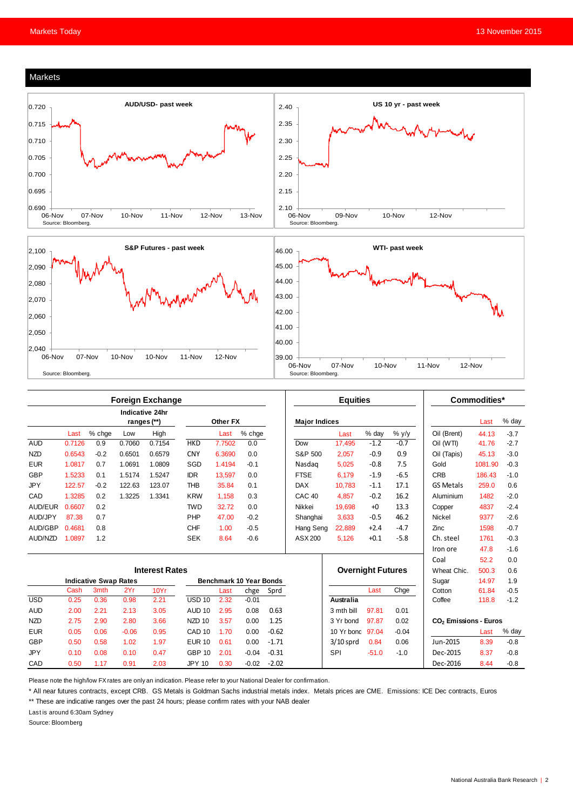





|            | <b>Foreign Exchange</b>      |        |             |                 |                                |          |         |         | <b>Equities</b>      |                          |         |         | Commodities*                      |         |        |
|------------|------------------------------|--------|-------------|-----------------|--------------------------------|----------|---------|---------|----------------------|--------------------------|---------|---------|-----------------------------------|---------|--------|
|            |                              |        | ranges (**) | Indicative 24hr |                                | Other FX |         |         | <b>Major Indices</b> |                          |         |         |                                   | Last    | % day  |
|            | Last                         | % chge | Low         | High            |                                | Last     | % chge  |         |                      | Last                     | % day   | % y/y   | Oil (Brent)                       | 44.13   | $-3.7$ |
| <b>AUD</b> | 0.7126                       | 0.9    | 0.7060      | 0.7154          | <b>HKD</b>                     | 7.7502   | 0.0     |         | Dow                  | 17,495                   | $-1.2$  | $-0.7$  | Oil (WTI)                         | 41.76   | $-2.7$ |
| <b>NZD</b> | 0.6543                       | $-0.2$ | 0.6501      | 0.6579          | <b>CNY</b>                     | 6.3690   | 0.0     |         | S&P 500              | 2.057                    | $-0.9$  | 0.9     | Oil (Tapis)                       | 45.13   | $-3.0$ |
| <b>EUR</b> | 1.0817                       | 0.7    | 1.0691      | 1.0809          | SGD                            | 1.4194   | $-0.1$  |         | Nasdag               | 5,025                    | $-0.8$  | 7.5     | Gold                              | 1081.90 | $-0.3$ |
| <b>GBP</b> | 1.5233                       | 0.1    | 1.5174      | 1.5247          | <b>IDR</b>                     | 13.597   | 0.0     |         | <b>FTSE</b>          | 6.179                    | $-1.9$  | $-6.5$  | <b>CRB</b>                        | 186.43  | $-1.0$ |
| <b>JPY</b> | 122.57                       | $-0.2$ | 122.63      | 123.07          | <b>THB</b>                     | 35.84    | 0.1     |         | <b>DAX</b>           | 10,783                   | $-1.1$  | 17.1    | <b>GS Metals</b>                  | 259.0   | 0.6    |
| CAD        | 1.3285                       | 0.2    | 1.3225      | 1.3341          | <b>KRW</b>                     | 1.158    | 0.3     |         | CAC <sub>40</sub>    | 4.857                    | $-0.2$  | 16.2    | Aluminium                         | 1482    | $-2.0$ |
| AUD/EUR    | 0.6607                       | 0.2    |             |                 | <b>TWD</b>                     | 32.72    | 0.0     |         | Nikkei               | 19,698                   | $+0$    | 13.3    | Copper                            | 4837    | $-2.4$ |
| AUD/JPY    | 87.38                        | 0.7    |             |                 | PHP                            | 47.00    | $-0.2$  |         | Shanghai             | 3.633                    | $-0.5$  | 46.2    | <b>Nickel</b>                     | 9377    | $-2.6$ |
| AUD/GBP    | 0.4681                       | 0.8    |             |                 | <b>CHF</b>                     | 1.00     | $-0.5$  |         | Hang Seng            | 22,889                   | $+2.4$  | $-4.7$  | Zinc                              | 1598    | $-0.7$ |
| AUD/NZD    | 1.0897                       | 1.2    |             |                 | <b>SEK</b>                     | 8.64     | $-0.6$  |         | ASX 200              | 5,126                    | $+0.1$  | $-5.8$  | Ch. steel                         | 1761    | $-0.3$ |
|            |                              |        |             |                 |                                |          |         |         |                      |                          |         |         | Iron ore                          | 47.8    | $-1.6$ |
|            |                              |        |             |                 |                                |          |         |         |                      |                          |         |         | Coal                              | 52.2    | 0.0    |
|            | <b>Interest Rates</b>        |        |             |                 |                                |          |         |         |                      | <b>Overnight Futures</b> |         |         | Wheat Chic.                       | 500.3   | 0.6    |
|            | <b>Indicative Swap Rates</b> |        |             |                 | <b>Benchmark 10 Year Bonds</b> |          |         |         |                      |                          |         | Sugar   | 14.97                             | 1.9     |        |
|            | Cash                         | 3mth   | 2Yr         | 10Yr            |                                | Last     | chge    | Sprd    |                      |                          | Last    | Chge    | Cotton                            | 61.84   | $-0.5$ |
| <b>USD</b> | 0.25                         | 0.36   | 0.98        | 2.21            | <b>USD 10</b>                  | 2.32     | $-0.01$ |         |                      | Australia                |         |         | Coffee                            | 118.8   | $-1.2$ |
| <b>AUD</b> | 2.00                         | 2.21   | 2.13        | 3.05            | AUD <sub>10</sub>              | 2.95     | 0.08    | 0.63    |                      | 3 mth bill               | 97.81   | 0.01    |                                   |         |        |
| <b>NZD</b> | 2.75                         | 2.90   | 2.80        | 3.66            | NZD <sub>10</sub>              | 3.57     | 0.00    | 1.25    |                      | 97.87<br>3 Yr bond       |         | 0.02    | CO <sub>2</sub> Emissions - Euros |         |        |
| <b>EUR</b> | 0.05                         | 0.06   | $-0.06$     | 0.95            | CAD <sub>10</sub>              | 1.70     | 0.00    | $-0.62$ |                      | 10 Yr bond               | 97.04   | $-0.04$ |                                   | Last    | % day  |
| <b>GBP</b> | 0.50                         | 0.58   | 1.02        | 1.97            | <b>EUR 10</b>                  | 0.61     | 0.00    | $-1.71$ |                      | $3/10$ sprd              | 0.84    | 0.06    | Jun-2015                          | 8.39    | $-0.8$ |
| <b>JPY</b> | 0.10                         | 0.08   | 0.10        | 0.47            | <b>GBP 10</b>                  | 2.01     | $-0.04$ | $-0.31$ |                      | SPI                      | $-51.0$ | $-1.0$  | Dec-2015                          | 8.37    | $-0.8$ |
| CAD        | 0.50                         | 1.17   | 0.91        | 2.03            | <b>JPY 10</b>                  | 0.30     | $-0.02$ | $-2.02$ |                      |                          |         |         | Dec-2016                          | 8.44    | $-0.8$ |

Please note the high/low FX rates are only an indication. Please refer to your National Dealer for confirmation.

\* All near futures contracts, except CRB. GS Metals is Goldman Sachs industrial metals index. Metals prices are CME. Emissions: ICE Dec contracts, Euros

\*\* These are indicative ranges over the past 24 hours; please confirm rates with your NAB dealer

Last is around 6:30am Sydney

Source: Bloomberg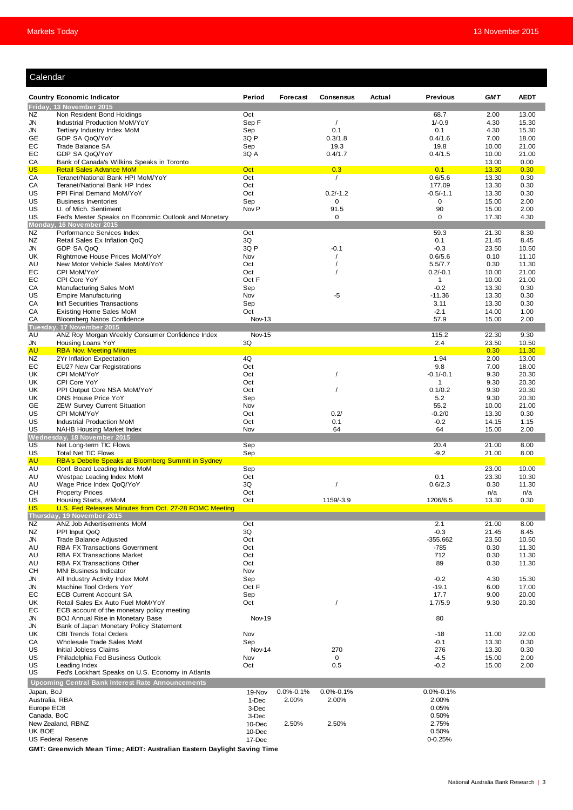Calendar

| <u>udiei iudi</u> |                                                                                  |                  |                 |                 |        |                      |                |                |
|-------------------|----------------------------------------------------------------------------------|------------------|-----------------|-----------------|--------|----------------------|----------------|----------------|
|                   | <b>Country Economic Indicator</b>                                                | Period           | Forecast        | Consensus       | Actual | <b>Previous</b>      | <b>GMT</b>     | <b>AEDT</b>    |
|                   | Friday, 13 November 2015                                                         |                  |                 |                 |        |                      |                |                |
| NZ                | Non Resident Bond Holdings                                                       | Oct              |                 |                 |        | 68.7                 | 2.00           | 13.00          |
| JN                | Industrial Production MoM/YoY                                                    | Sep F            |                 | $\sqrt{2}$      |        | $1/-0.9$             | 4.30           | 15.30          |
| JN<br>GE          | Tertiary Industry Index MoM                                                      | Sep<br>3Q P      |                 | 0.1<br>0.3/1.8  |        | 0.1<br>0.4/1.6       | 4.30           | 15.30          |
| ЕC                | GDP SA QoQ/YoY<br><b>Trade Balance SA</b>                                        | Sep              |                 | 19.3            |        | 19.8                 | 7.00<br>10.00  | 18.00<br>21.00 |
| EС                | GDP SA QoQ/YoY                                                                   | 3Q A             |                 | 0.4/1.7         |        | 0.4/1.5              | 10.00          | 21.00          |
| СA                | Bank of Canada's Wilkins Speaks in Toronto                                       |                  |                 |                 |        |                      | 13.00          | 0.00           |
| <b>US</b>         | <b>Retail Sales Advance MoM</b>                                                  | Oct              |                 | 0.3             |        | 0.1                  | 13.30          | 0.30           |
| СA                | Teranet/National Bank HPI MoM/YoY                                                | Oct              |                 | $\prime$        |        | 0.6/5.6              | 13.30          | 0.30           |
| СA                | Teranet/National Bank HP Index                                                   | Oct              |                 |                 |        | 177.09               | 13.30          | 0.30           |
| US                | PPI Final Demand MoM/YoY                                                         | Oct              |                 | $0.2/-1.2$      |        | $-0.5/-1.1$          | 13.30          | 0.30           |
| US                | <b>Business Inventories</b>                                                      | Sep              |                 | $\mathbf 0$     |        | 0                    | 15.00          | 2.00           |
| US<br>US          | U. of Mich. Sentiment<br>Fed's Mester Speaks on Economic Outlook and Monetary    | Nov <sub>P</sub> |                 | 91.5<br>0       |        | 90<br>$\mathbf 0$    | 15.00<br>17.30 | 2.00<br>4.30   |
|                   | Monday, 16 November 2015                                                         |                  |                 |                 |        |                      |                |                |
| NZ                | Performance Services Index                                                       | Oct              |                 |                 |        | 59.3                 | 21.30          | 8.30           |
| NZ                | Retail Sales Ex Inflation QoQ                                                    | 3Q               |                 |                 |        | 0.1                  | 21.45          | 8.45           |
| JN                | GDP SA QoQ                                                                       | 3Q P             |                 | $-0.1$          |        | $-0.3$               | 23.50          | 10.50          |
| UK                | Rightmove House Prices MoM/YoY                                                   | Nov              |                 | $\prime$        |        | 0.6/5.6              | 0.10           | 11.10          |
| AU                | New Motor Vehicle Sales MoM/YoY                                                  | Oct              |                 | $\prime$        |        | 5.5/7.7              | 0.30           | 11.30          |
| EС                | CPI MoM/YoY                                                                      | Oct              |                 | $\prime$        |        | $0.2/-0.1$           | 10.00          | 21.00          |
| ЕC                | CPI Core YoY                                                                     | Oct F            |                 |                 |        | 1                    | 10.00          | 21.00          |
| СA<br>US          | Manufacturing Sales MoM<br><b>Empire Manufacturing</b>                           | Sep<br>Nov       |                 | -5              |        | $-0.2$<br>$-11.36$   | 13.30<br>13.30 | 0.30<br>0.30   |
| CA                | Int'l Securities Transactions                                                    | Sep              |                 |                 |        | 3.11                 | 13.30          | 0.30           |
| CA                | <b>Existing Home Sales MoM</b>                                                   | Oct              |                 |                 |        | $-2.1$               | 14.00          | 1.00           |
| СA                | <b>Bloomberg Nanos Confidence</b>                                                | Nov-13           |                 |                 |        | 57.9                 | 15.00          | 2.00           |
|                   | Tuesday, 17 November 2015                                                        |                  |                 |                 |        |                      |                |                |
| AU                | ANZ Roy Morgan Weekly Consumer Confidence Index                                  | Nov-15           |                 |                 |        | 115.2                | 22.30          | 9.30           |
| JN                | Housing Loans YoY                                                                | 3Q               |                 |                 |        | 2.4                  | 23.50          | 10.50          |
| <b>AU</b>         | <b>RBA Nov. Meeting Minutes</b>                                                  |                  |                 |                 |        |                      | 0.30           | 11.30          |
| NZ                | 2Yr Inflation Expectation                                                        | 4Q               |                 |                 |        | 1.94                 | 2.00           | 13.00          |
| EС                | <b>EU27 New Car Registrations</b>                                                | Oct              |                 |                 |        | 9.8                  | 7.00           | 18.00          |
| UK<br>UK          | CPI MoM/YoY<br>CPI Core YoY                                                      | Oct<br>Oct       |                 | $\prime$        |        | $-0.1/-0.1$<br>1     | 9.30<br>9.30   | 20.30<br>20.30 |
| UK                | PPI Output Core NSA MoM/YoY                                                      | Oct              |                 | $\prime$        |        | 0.1/0.2              | 9.30           | 20.30          |
| UK                | ONS House Price YoY                                                              | Sep              |                 |                 |        | 5.2                  | 9.30           | 20.30          |
| GE                | ZEW Survey Current Situation                                                     | Nov              |                 |                 |        | 55.2                 | 10.00          | 21.00          |
| US                | CPI MoM/YoY                                                                      | Oct              |                 | 0.2/            |        | $-0.2/0$             | 13.30          | 0.30           |
| US                | Industrial Production MoM                                                        | Oct              |                 | 0.1             |        | $-0.2$               | 14.15          | 1.15           |
| US                | <b>NAHB Housing Market Index</b>                                                 | Nov              |                 | 64              |        | 64                   | 15.00          | 2.00           |
|                   | Wednesday, 18 November 2015                                                      |                  |                 |                 |        |                      |                |                |
| US                | Net Long-term TIC Flows                                                          | Sep              |                 |                 |        | 20.4                 | 21.00          | 8.00           |
| US<br><b>AU</b>   | <b>Total Net TIC Flows</b><br>RBA's Debelle Speaks at Bloomberg Summit in Sydney | Sep              |                 |                 |        | $-9.2$               | 21.00          | 8.00           |
| AU                | Conf. Board Leading Index MoM                                                    | Sep              |                 |                 |        |                      | 23.00          | 10.00          |
| AU                | Westpac Leading Index MoM                                                        | Oct              |                 |                 |        | 0.1                  | 23.30          | 10.30          |
| AU                | Wage Price Index QoQ/YoY                                                         | 3Q               |                 |                 |        | 0.6/2.3              | 0.30           | 11.30          |
| CН                | <b>Property Prices</b>                                                           | Oct              |                 |                 |        |                      | n/a            | n/a            |
| US                | Housing Starts, #/MoM                                                            | Oct              |                 | 1159/-3.9       |        | 1206/6.5             | 13.30          | 0.30           |
| <b>US</b>         | U.S. Fed Releases Minutes from Oct. 27-28 FOMC Meeting                           |                  |                 |                 |        |                      |                |                |
|                   | Thursday, 19 November 2015                                                       |                  |                 |                 |        |                      |                |                |
| NZ                | ANZ Job Advertisements MoM                                                       | Oct              |                 |                 |        | 2.1                  | 21.00          | 8.00           |
| NZ                | PPI Input QoQ                                                                    | 3Q<br>Oct        |                 |                 |        | $-0.3$               | 21.45          | 8.45           |
| JN<br>AU          | <b>Trade Balance Adjusted</b><br><b>RBA FX Transactions Government</b>           | Oct              |                 |                 |        | $-355.662$<br>$-785$ | 23.50<br>0.30  | 10.50<br>11.30 |
| AU                | <b>RBA FX Transactions Market</b>                                                | Oct              |                 |                 |        | 712                  | 0.30           | 11.30          |
| AU                | RBA FX Transactions Other                                                        | Oct              |                 |                 |        | 89                   | 0.30           | 11.30          |
| CН                | <b>MNI Business Indicator</b>                                                    | Nov              |                 |                 |        |                      |                |                |
| JN                | All Industry Activity Index MoM                                                  | Sep              |                 |                 |        | $-0.2$               | 4.30           | 15.30          |
| JN                | Machine Tool Orders YoY                                                          | Oct F            |                 |                 |        | $-19.1$              | 6.00           | 17.00          |
| EC                | <b>ECB Current Account SA</b>                                                    | Sep              |                 |                 |        | 17.7                 | 9.00           | 20.00          |
| UK                | Retail Sales Ex Auto Fuel MoM/YoY                                                | Oct              |                 | $\prime$        |        | 1.7/5.9              | 9.30           | 20.30          |
| EС                | ECB account of the monetary policy meeting                                       |                  |                 |                 |        |                      |                |                |
| JN                | <b>BOJ Annual Rise in Monetary Base</b>                                          | Nov-19           |                 |                 |        | 80                   |                |                |
| JN<br>UK          | Bank of Japan Monetary Policy Statement<br><b>CBI Trends Total Orders</b>        | Nov              |                 |                 |        | -18                  | 11.00          | 22.00          |
| СA                | Wholesale Trade Sales MoM                                                        | Sep              |                 |                 |        | -0.1                 | 13.30          | 0.30           |
| US                | Initial Jobless Claims                                                           | Nov-14           |                 | 270             |        | 276                  | 13.30          | 0.30           |
| US                | Philadelphia Fed Business Outlook                                                | Nov              |                 | $\mathbf 0$     |        | $-4.5$               | 15.00          | 2.00           |
| US                | Leading Index                                                                    | Oct              |                 | 0.5             |        | $-0.2$               | 15.00          | 2.00           |
| US                | Fed's Lockhart Speaks on U.S. Economy in Atlanta                                 |                  |                 |                 |        |                      |                |                |
|                   | <b>Upcoming Central Bank Interest Rate Announcements</b>                         |                  |                 |                 |        |                      |                |                |
| Japan, BoJ        |                                                                                  | 19-Nov           | $0.0\% - 0.1\%$ | $0.0\% - 0.1\%$ |        | $0.0\% - 0.1\%$      |                |                |
| Australia, RBA    |                                                                                  | 1-Dec            | 2.00%           | 2.00%           |        | 2.00%                |                |                |
| Europe ECB        |                                                                                  | 3-Dec            |                 |                 |        | 0.05%                |                |                |
| Canada, BoC       |                                                                                  | 3-Dec            |                 |                 |        | 0.50%                |                |                |
| UK BOE            | New Zealand, RBNZ                                                                | 10-Dec<br>10-Dec | 2.50%           | 2.50%           |        | 2.75%<br>0.50%       |                |                |
|                   | <b>US Federal Reserve</b>                                                        | 17-Dec           |                 |                 |        | $0 - 0.25%$          |                |                |
|                   | GMT: Greenwich Mean Time; AEDT: Australian Eastern Daylight Saving Time          |                  |                 |                 |        |                      |                |                |
|                   |                                                                                  |                  |                 |                 |        |                      |                |                |